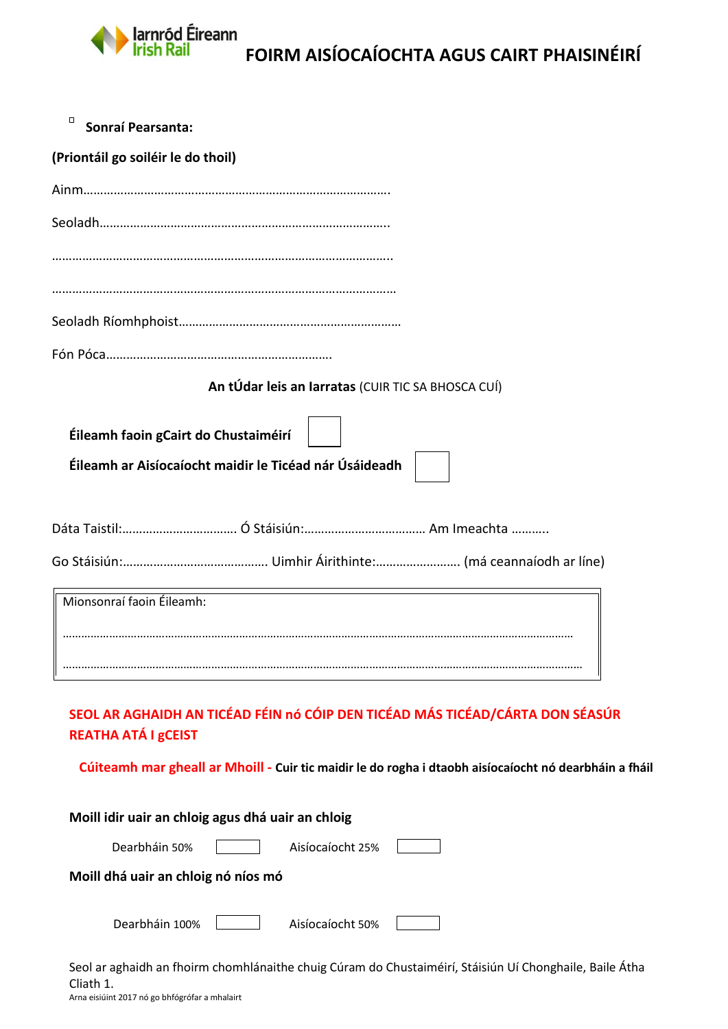

| $\Box$<br>Sonraí Pearsanta:                                                                             |
|---------------------------------------------------------------------------------------------------------|
| (Priontáil go soiléir le do thoil)                                                                      |
|                                                                                                         |
|                                                                                                         |
|                                                                                                         |
|                                                                                                         |
|                                                                                                         |
| An tÚdar leis an Iarratas (CUIR TIC SA BHOSCA CUÍ)                                                      |
| Éileamh faoin gCairt do Chustaiméirí<br>Éileamh ar Aisíocaíocht maidir le Ticéad nár Úsáideadh          |
|                                                                                                         |
|                                                                                                         |
|                                                                                                         |
| Mionsonraí faoin Éileamh:                                                                               |
|                                                                                                         |
|                                                                                                         |
| SEOL AR AGHAIDH AN TICÉAD FÉIN nó CÓIP DEN TICÉAD MÁS TICÉAD/CÁRTA DON SÉASÚR<br>REATHA ATÁ I gCEIST    |
| Cúiteamh mar gheall ar Mhoill - Cuir tic maidir le do rogha i dtaobh aisíocaíocht nó dearbháin a fháil  |
| Moill idir uair an chloig agus dhá uair an chloig                                                       |
| Dearbháin 50%<br>Aisíocaíocht 25%                                                                       |
| Moill dhá uair an chloig nó níos mó                                                                     |
| Dearbháin 100%<br>Aisíocaíocht 50%                                                                      |
| Seol ar aghaidh an fhoirm chomhlánaithe chuig Cúram do Chustaiméirí, Stáisiún Uí Chonghaile, Baile Átha |